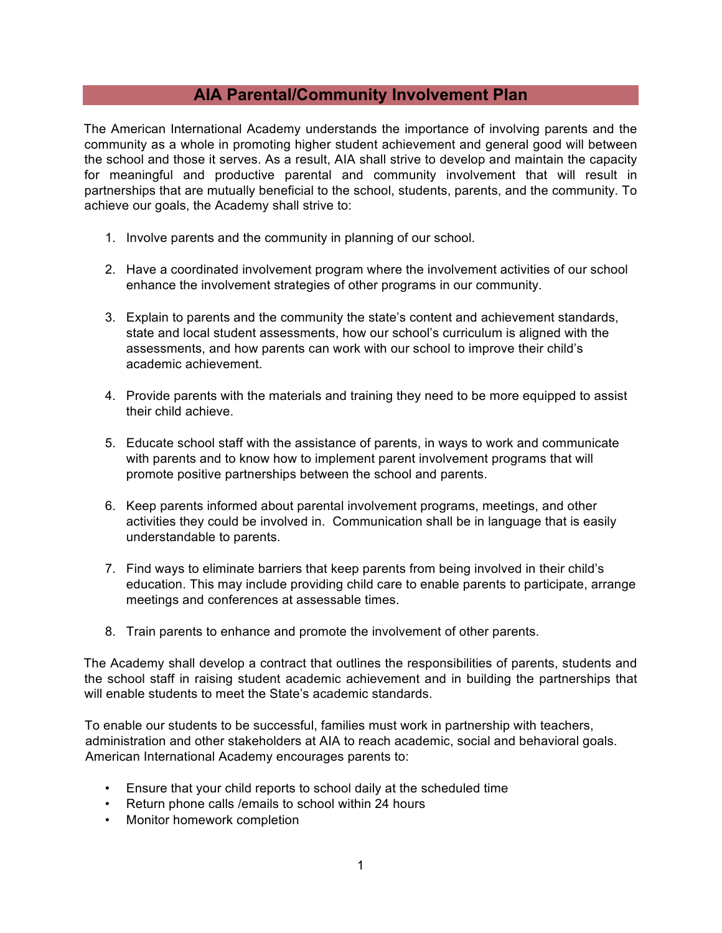## **AIA Parental/Community Involvement Plan**

The American International Academy understands the importance of involving parents and the community as a whole in promoting higher student achievement and general good will between the school and those it serves. As a result, AIA shall strive to develop and maintain the capacity for meaningful and productive parental and community involvement that will result in partnerships that are mutually beneficial to the school, students, parents, and the community. To achieve our goals, the Academy shall strive to:

- 1. Involve parents and the community in planning of our school.
- 2. Have a coordinated involvement program where the involvement activities of our school enhance the involvement strategies of other programs in our community.
- 3. Explain to parents and the community the state's content and achievement standards, state and local student assessments, how our school's curriculum is aligned with the assessments, and how parents can work with our school to improve their child's academic achievement.
- 4. Provide parents with the materials and training they need to be more equipped to assist their child achieve.
- 5. Educate school staff with the assistance of parents, in ways to work and communicate with parents and to know how to implement parent involvement programs that will promote positive partnerships between the school and parents.
- 6. Keep parents informed about parental involvement programs, meetings, and other activities they could be involved in. Communication shall be in language that is easily understandable to parents.
- 7. Find ways to eliminate barriers that keep parents from being involved in their child's education. This may include providing child care to enable parents to participate, arrange meetings and conferences at assessable times.
- 8. Train parents to enhance and promote the involvement of other parents.

The Academy shall develop a contract that outlines the responsibilities of parents, students and the school staff in raising student academic achievement and in building the partnerships that will enable students to meet the State's academic standards.

To enable our students to be successful, families must work in partnership with teachers, administration and other stakeholders at AIA to reach academic, social and behavioral goals. American International Academy encourages parents to:

- Ensure that your child reports to school daily at the scheduled time
- Return phone calls /emails to school within 24 hours
- Monitor homework completion